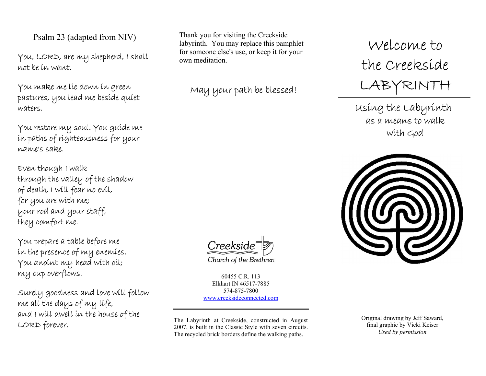Psalm 23 (adapted from NIV)

You, LORD, are my shepherd, I shall not be in want.

You make me lie down in green pastures, you lead me beside quiet waters.

You restore my soul. You guide me in paths of righteousness for your name's sake.

Even though I walk through the valley of the shadow of death, I will fear no evil, for you are with me; your rod and your staff, they comfort me.

You prepare a table before me in the presence of my enemies. You anoint my head with oil; my cup overflows.

Surely goodness and love will follow me all the days of my life, and I will dwell in the house of the LORD forever.

Thank you for visiting the Creekside labyrinth. You may replace this pamphlet for someone else's use, or keep it for your own meditation.

May your path be blessed!

Welcome to the Creekside LABYRINTH

Using the Labyrinth as a means to walk with God



Creekside

Church of the Brethren

60455 C.R. 113 Elkhart IN 46517-7885 574-875-7800 www.creeksideconnected.com

The Labyrinth at Creekside, constructed in August 2007, is built in the Classic Style with seven circuits. The recycled brick borders define the walking paths.

Original drawing by Jeff Saward, final graphic by Vicki Keiser Used by permission